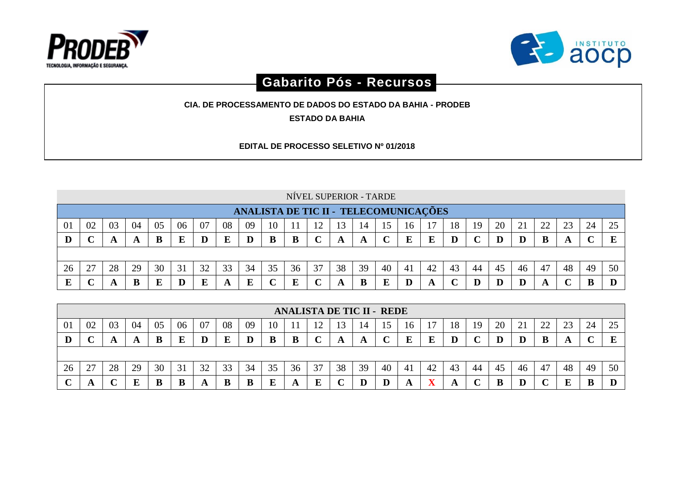



## **Gabarito Pós - Recursos**

**CIA. DE PROCESSAMENTO DE DADOS DO ESTADO DA BAHIA - PRODEB**

**ESTADO DA BAHIA**

**EDITAL DE PROCESSO SELETIVO Nº 01/2018**

|    |                                                                                                                |    |    |    |    |    |    |    |    |    |    |    |    | NÍVEL SUPERIOR - TARDE |    |                                       |    |    |    |    |    |    |    |    |
|----|----------------------------------------------------------------------------------------------------------------|----|----|----|----|----|----|----|----|----|----|----|----|------------------------|----|---------------------------------------|----|----|----|----|----|----|----|----|
|    |                                                                                                                |    |    |    |    |    |    |    |    |    |    |    |    |                        |    | ANALISTA DE TIC II - TELECOMUNICAÇÕES |    |    |    |    |    |    |    |    |
| 01 | 22<br>24<br>06<br>08<br>20<br>02<br>04<br>07<br>25<br>18<br>23<br>03<br>05<br>09<br>10<br>19<br>13<br>14<br>16 |    |    |    |    |    |    |    |    |    |    |    |    |                        |    |                                       |    |    |    |    |    |    |    |    |
| D  |                                                                                                                |    | A  |    | E  | D  | E  | D  | B  | B  |    | A  | A  |                        | E  |                                       | D  |    | D  |    | B  |    |    |    |
|    |                                                                                                                |    |    |    |    |    |    |    |    |    |    |    |    |                        |    |                                       |    |    |    |    |    |    |    |    |
| 26 | 27                                                                                                             | 28 | 29 | 30 | 31 | 32 | 33 | 34 | 35 | 36 | 37 | 38 | 39 | 40                     | 41 | 42                                    | 43 | 44 | 45 | 46 | 47 | 48 | 49 | 50 |
| Е  |                                                                                                                |    | B  | E  | D  |    | A  |    |    | E  |    |    | B  |                        |    |                                       |    |    | D  |    |    |    |    |    |

|    |                                |    |    |    |    |    |    |    |    | <b>ANALISTA DE TIC II - REDE</b> |         |    |    |    |    |    |    |    |    |    |                      |        |    |          |
|----|--------------------------------|----|----|----|----|----|----|----|----|----------------------------------|---------|----|----|----|----|----|----|----|----|----|----------------------|--------|----|----------|
| 01 | 02                             | 03 | 04 | 05 | 06 | 07 | 08 | 09 | 10 |                                  | ി<br>∸∸ | 13 | 14 |    | 16 |    | 18 | 19 | 20 | ∠⊥ | $\gamma\gamma$<br>∠∠ | $\cap$ | 24 | 25<br>رے |
|    |                                |    | A  | В  | E  | IJ | E  | Ш  | B  | В                                | ັ       |    |    |    | E  |    | D  |    |    |    |                      |        |    | E        |
|    |                                |    |    |    |    |    |    |    |    |                                  |         |    |    |    |    |    |    |    |    |    |                      |        |    |          |
| 26 | 27<br>$\overline{\phantom{a}}$ | 28 | 29 | 30 | 31 | 32 | 33 | 34 | 35 | 36                               | 37      | 38 | 39 | 40 | 41 | 42 | 43 | 44 | 45 | 46 | 47                   | 48     | 49 | 50       |
|    | A                              |    | E  |    |    |    | B  | B  | ю  |                                  | E       |    |    |    | A  |    | A  |    | B  |    |                      |        | B  |          |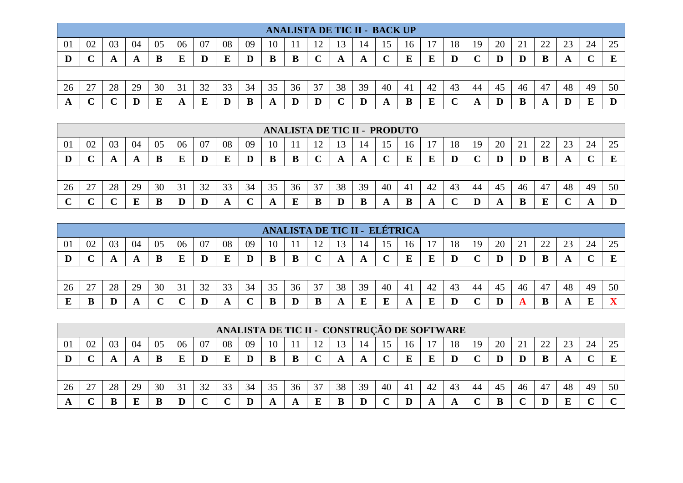|    |             |    |         |    |    |    |    |    |    |    | <b>ANALISTA DE TIC II - BACK UP</b> |    |                 |    |    |    |    |    |    |    |    |    |    |    |
|----|-------------|----|---------|----|----|----|----|----|----|----|-------------------------------------|----|-----------------|----|----|----|----|----|----|----|----|----|----|----|
| 01 | 02          | 03 | 04      | 05 | 06 | 07 | 08 | 09 | 10 |    | ר ו                                 |    | $\overline{14}$ |    | 16 |    | 18 | 19 | 20 | 21 | つつ | 23 | 24 | 25 |
|    | $\sim$<br>◡ |    | A       | В  | E  | D  | E  |    | B  | В  | $\sim$<br>ັ                         | A  | A               |    | E  | E  | D  |    | D  |    | B  | A  |    |    |
|    |             |    |         |    |    |    |    |    |    |    |                                     |    |                 |    |    |    |    |    |    |    |    |    |    |    |
| 26 | 27          | 28 | 29      | 30 | 31 | 32 | 33 | 34 | 35 | 36 | 37                                  | 38 | 39              | 40 | 41 | 42 | 43 | 44 | 45 | 46 | 47 | 48 | 49 | 50 |
| A  | $\sim$<br>◡ |    | $\bf D$ |    | A  |    | D  | В  | A  | Ш  |                                     |    |                 |    | B  | E  |    |    |    |    |    |    |    |    |

|        |        |    |    |    |    |    |    |    |    | <b>ANALISTA DE TIC II - PRODUTO</b> |    |    |                |    |    |    |    |    |    |    |                |        |        |    |
|--------|--------|----|----|----|----|----|----|----|----|-------------------------------------|----|----|----------------|----|----|----|----|----|----|----|----------------|--------|--------|----|
| 01     | 02     | 03 | 04 | 05 | 06 | 07 | 08 | 09 | 10 |                                     |    |    | 1 <sup>4</sup> |    | 16 |    | 18 | 19 | 20 | ∠⊥ | $\gamma$<br>44 | $\cap$ | 24     | 25 |
|        | $\sim$ |    | A  |    | F  |    | E  | D  | B  |                                     | ◡  | A  | A              |    | E  |    | D  |    | D  |    |                | A      | $\sim$ | E  |
|        |        |    |    |    |    |    |    |    |    |                                     |    |    |                |    |    |    |    |    |    |    |                |        |        |    |
| 26     | 27     | 28 | 29 | 30 | 31 | 32 | 33 | 34 | 35 | 36                                  | 37 | 38 | 39             | 40 | 41 | 42 | 43 | 44 | 45 | 46 | 47             | 48     | 49     | 50 |
| $\sim$ | $\sim$ |    |    |    |    |    | A  |    |    |                                     | B  |    | B              |    | B  |    |    |    | A  |    | E              |        |        |    |

|    |    |    |              |    |     |    |    |    |    |    |     |    |    |    | ANALISTA DE TIC II - ELÉTRICA |    |    |    |    |    |    |        |    |          |
|----|----|----|--------------|----|-----|----|----|----|----|----|-----|----|----|----|-------------------------------|----|----|----|----|----|----|--------|----|----------|
| 01 | 02 | 03 | 04           | 05 | 06  | 07 | 08 | 09 | 10 |    | ר ו |    | 14 |    | 16                            |    | 18 | 19 | 20 | ∠⊥ | 22 | $\cap$ | 24 | $\gamma$ |
|    |    |    |              |    | دار | D  | E  | D  | B  | В  | ີ   |    |    |    | E                             |    | D  |    | D  |    |    |        |    |          |
|    |    |    |              |    |     |    |    |    |    |    |     |    |    |    |                               |    |    |    |    |    |    |        |    |          |
| 26 | つつ | 28 | 29           | 30 | 31  | 32 | 33 | 34 | 35 | 36 | 37  | 38 | 39 | 40 | 41                            | 42 | 43 | 44 | 45 | 46 | 47 | 48     | 49 | 50       |
| E  |    |    | $\mathbf{A}$ |    |     |    |    |    | B  |    | B   |    | E  |    | A                             |    | D  |    |    |    |    |        | E  |          |

|                |                  |    |    |    |    |    | ANALISTA DE TIC II - CONSTRUÇÃO DE SOFTWARE |    |    |    |    |    |    |    |    |    |    |    |    |    |    |    |    |                |
|----------------|------------------|----|----|----|----|----|---------------------------------------------|----|----|----|----|----|----|----|----|----|----|----|----|----|----|----|----|----------------|
| 0 <sup>1</sup> | 02               | 03 | 04 | 05 | 06 | 07 | 08                                          | 09 | 10 |    |    |    | 14 |    | 16 |    | 18 | 19 | 20 |    | つつ |    | 24 | $\cap \subset$ |
|                | E<br>B<br>D<br>ĸ |    |    |    |    |    |                                             |    |    |    |    |    |    |    |    |    |    |    |    |    |    |    |    |                |
|                |                  |    |    |    |    |    |                                             |    |    |    |    |    |    |    |    |    |    |    |    |    |    |    |    |                |
| 26             |                  | 28 | 29 | 30 | 31 | 32 | 33                                          | 34 | 35 | 36 | 37 | 38 | 39 | 40 | 41 | 42 | 43 | 44 | 45 | 46 | 47 | 48 | 49 | 50             |
|                |                  |    |    |    |    |    |                                             |    | A  |    | E  |    | D  |    |    |    |    |    |    |    |    | E  |    |                |